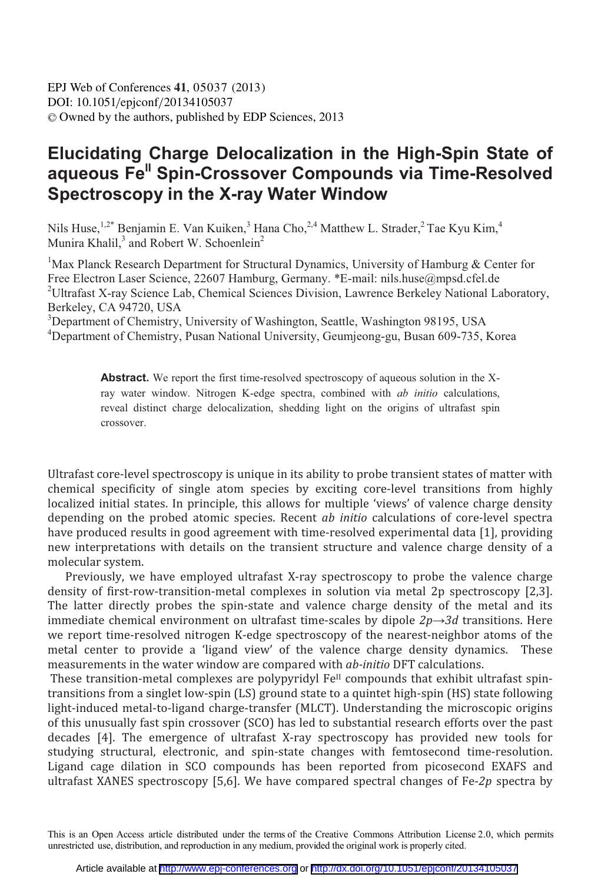## Elucidating Charge Delocalization in the High-Spin State of aqueous Fe" Spin-Crossover Compounds via Time-Resolved Spectroscopy in the X-ray Water Window

Nils Huse, <sup>1,2\*</sup> Benjamin E. Van Kuiken,<sup>3</sup> Hana Cho,<sup>2,4</sup> Matthew L. Strader,<sup>2</sup> Tae Kyu Kim,<sup>4</sup> Munira Khalil,<sup>3</sup> and Robert W. Schoenlein<sup>2</sup>

<sup>1</sup>Max Planck Research Department for Structural Dynamics, University of Hamburg & Center for Free Electron Laser Science, 22607 Hamburg, Germany. \*E-mail: nils.huse@mpsd.cfel.de <sup>2</sup>Ultrafast X-ray Science Lab, Chemical Sciences Division, Lawrence Berkeley National Laboratory, Berkeley, CA 94720, USA

<sup>3</sup>Department of Chemistry, University of Washington, Seattle, Washington 98195, USA <sup>4</sup>Department of Chemistry, Pusan National University, Geumjeong-gu, Busan 609-735, Korea

> Abstract. We report the first time-resolved spectroscopy of aqueous solution in the Xray water window. Nitrogen K-edge spectra, combined with ab initio calculations, reveal distinct charge delocalization, shedding light on the origins of ultrafast spin crossover.

Ultrafast core-level spectroscopy is unique in its ability to probe transient states of matter with chemical specificity of single atom species by exciting core-level transitions from highly localized initial states. In principle, this allows for multiple 'views' of valence charge density depending on the probed atomic species. Recent *ab initio* calculations of core-level spectra have produced results in good agreement with time-resolved experimental data [1], providing new interpretations with details on the transient structure and valence charge density of a molecular system.

Previously, we have employed ultrafast X-ray spectroscopy to probe the valence charge density of first-row-transition-metal complexes in solution via metal 2p spectroscopy [2,3]. The latter directly probes the spin-state and valence charge density of the metal and its immediate chemical environment on ultrafast time-scales by dipole  $2p \rightarrow 3d$  transitions. Here we report time-resolved nitrogen K-edge spectroscopy of the nearest-neighbor atoms of the metal center to provide a 'ligand view' of the valence charge density dynamics. These measurements in the water window are compared with *ab-initio* DFT calculations.

These transition-metal complexes are polypyridyl Fe<sup>II</sup> compounds that exhibit ultrafast spintransitions from a singlet low-spin (LS) ground state to a quintet high-spin (HS) state following light-induced metal-to-ligand charge-transfer (MLCT). Understanding the microscopic origins of this unusually fast spin crossover (SCO) has led to substantial research efforts over the past decades [4]. The emergence of ultrafast X-ray spectroscopy has provided new tools for studying structural, electronic, and spin-state changes with femtosecond time-resolution. Ligand cage dilation in SCO compounds has been reported from picosecond EXAFS and ultrafast XANES spectroscopy [5,6]. We have compared spectral changes of Fe-2p spectra by

This is an Open Access article distributed under the terms of the Creative Commons Attribution License 2.0, which permits unrestricted use, distribution, and reproduction in any medium, provided the original work is properly cited.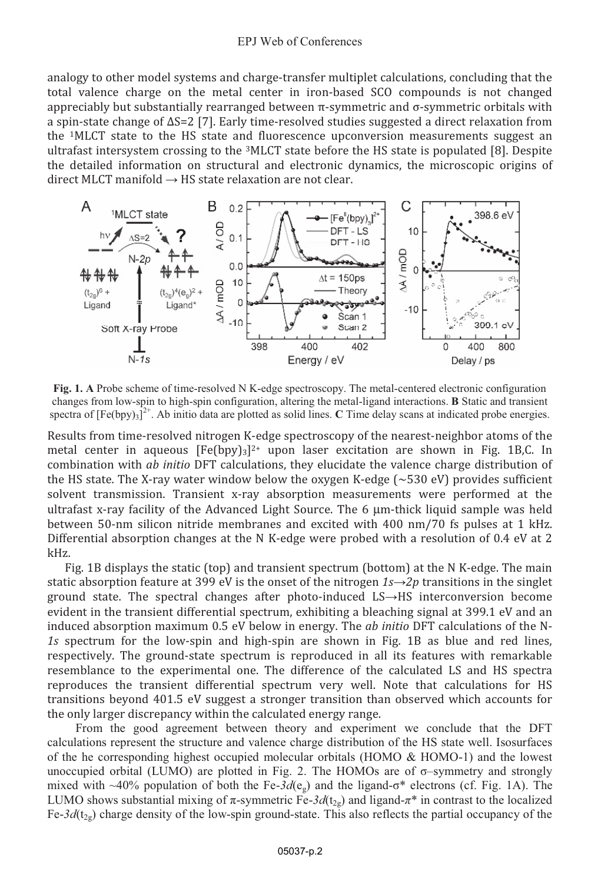## **EPJ** Web of Conferences

analogy to other model systems and charge-transfer multiplet calculations, concluding that the total valence charge on the metal center in iron-based SCO compounds is not changed appreciably but substantially rearranged between  $\pi$ -symmetric and  $\sigma$ -symmetric orbitals with a spin-state change of  $\Delta S = 2$  [7]. Early time-resolved studies suggested a direct relaxation from the <sup>1</sup>MLCT state to the HS state and fluorescence upconversion measurements suggest an ultrafast intersystem crossing to the  ${}^{3}$ MLCT state before the HS state is populated [8]. Despite the detailed information on structural and electronic dynamics, the microscopic origins of direct MLCT manifold  $\rightarrow$  HS state relaxation are not clear.



Fig. 1. A Probe scheme of time-resolved N K-edge spectroscopy. The metal-centered electronic configuration changes from low-spin to high-spin configuration, altering the metal-ligand interactions. B Static and transient spectra of  $[Fe(bpy)_3]^{2+}$ . Ab initio data are plotted as solid lines. C Time delay scans at indicated probe energies.

Results from time-resolved nitrogen K-edge spectroscopy of the nearest-neighbor atoms of the metal center in aqueous  $[Fe(bpy)_3]^{2+}$  upon laser excitation are shown in Fig. 1B,C. In combination with *ab initio* DFT calculations, they elucidate the valence charge distribution of the HS state. The X-ray water window below the oxygen K-edge  $({\sim}530 \text{ eV})$  provides sufficient solvent transmission. Transient x-ray absorption measurements were performed at the ultrafast x-ray facility of the Advanced Light Source. The 6 µm-thick liquid sample was held between 50-nm silicon nitride membranes and excited with 400 nm/70 fs pulses at 1 kHz. Differential absorption changes at the N K-edge were probed with a resolution of 0.4 eV at 2 kHz.

Fig. 1B displays the static (top) and transient spectrum (bottom) at the N K-edge. The main static absorption feature at 399 eV is the onset of the nitrogen  $1s\rightarrow 2p$  transitions in the singlet ground state. The spectral changes after photo-induced LS->HS interconversion become evident in the transient differential spectrum, exhibiting a bleaching signal at 399.1 eV and an induced absorption maximum 0.5 eV below in energy. The *ab initio* DFT calculations of the N-1s spectrum for the low-spin and high-spin are shown in Fig. 1B as blue and red lines, respectively. The ground-state spectrum is reproduced in all its features with remarkable resemblance to the experimental one. The difference of the calculated LS and HS spectra reproduces the transient differential spectrum very well. Note that calculations for HS transitions beyond 401.5 eV suggest a stronger transition than observed which accounts for the only larger discrepancy within the calculated energy range.

From the good agreement between theory and experiment we conclude that the DFT calculations represent the structure and valence charge distribution of the HS state well. Isosurfaces of the he corresponding highest occupied molecular orbitals (HOMO  $\&$  HOMO-1) and the lowest unoccupied orbital (LUMO) are plotted in Fig. 2. The HOMOs are of  $\sigma$ -symmetry and strongly mixed with ~40% population of both the Fe- $3d(e<sub>s</sub>)$  and the ligand- $\sigma^*$  electrons (cf. Fig. 1A). The LUMO shows substantial mixing of  $\pi$ -symmetric Fe-3d(t<sub>20</sub>) and ligand- $\pi^*$  in contrast to the localized Fe-3d( $t_{2g}$ ) charge density of the low-spin ground-state. This also reflects the partial occupancy of the